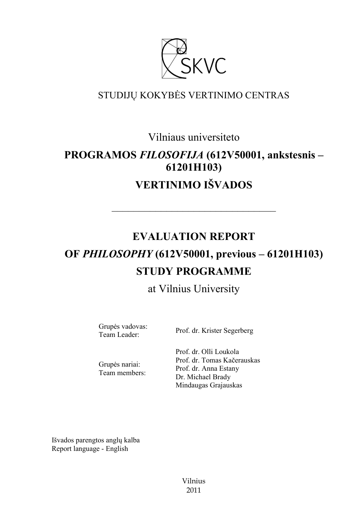

## STUDIJŲ KOKYBĖS VERTINIMO CENTRAS

Vilniaus universiteto

# **PROGRAMOS** *FILOSOFIJA* **(612V50001, ankstesnis – 61201H103) VERTINIMO IŠVADOS**

––––––––––––––––––––––––––––––

# **EVALUATION REPORT OF** *PHILOSOPHY* **(612V50001, previous – 61201H103) STUDY PROGRAMME**

## at Vilnius University

Grupės vadovas:

Team Leader: Prof. dr. Krister Segerberg

Grupės nariai: Team members: Prof. dr. Olli Loukola Prof. dr. Tomas Kačerauskas Prof. dr. Anna Estany Dr. Michael Brady Mindaugas Grajauskas

Išvados parengtos anglų kalba Report language - English

> Vilnius 2011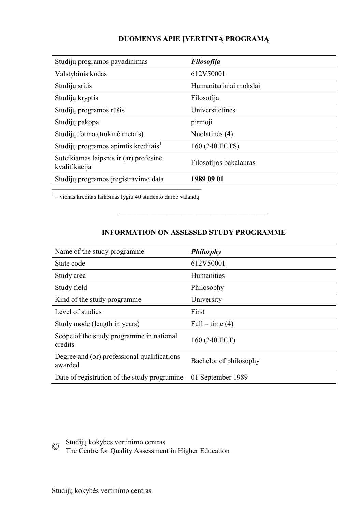#### **DUOMENYS APIE ĮVERTINTĄ PROGRAMĄ**

| Studijų programos pavadinimas                           | <b>Filosofija</b>      |
|---------------------------------------------------------|------------------------|
| Valstybinis kodas                                       | 612V50001              |
| Studijų sritis                                          | Humanitariniai mokslai |
| Studijų kryptis                                         | Filosofija             |
| Studijų programos rūšis                                 | Universitetinės        |
| Studijų pakopa                                          | pirmoji                |
| Studijų forma (trukmė metais)                           | Nuolatinės (4)         |
| Studijų programos apimtis kreditais <sup>1</sup>        | 160 (240 ECTS)         |
| Suteikiamas laipsnis ir (ar) profesinė<br>kvalifikacija | Filosofijos bakalauras |
| Studijų programos įregistravimo data                    | 1989 09 01             |

 $^{-1}$ – vienas kreditas laikomas lygiu 40 studento darbo valandų

#### **INFORMATION ON ASSESSED STUDY PROGRAMME**

–––––––––––––––––––––––––––––––

| Name of the study programme                            | Philosphy              |
|--------------------------------------------------------|------------------------|
| State code                                             | 612V50001              |
| Study area                                             | Humanities             |
| Study field                                            | Philosophy             |
| Kind of the study programme                            | University             |
| Level of studies                                       | First                  |
| Study mode (length in years)                           | Full – time $(4)$      |
| Scope of the study programme in national<br>credits    | 160 (240 ECT)          |
| Degree and (or) professional qualifications<br>awarded | Bachelor of philosophy |
| Date of registration of the study programme            | 01 September 1989      |

© Studijų kokybės vertinimo centras The Centre for Quality Assessment in Higher Education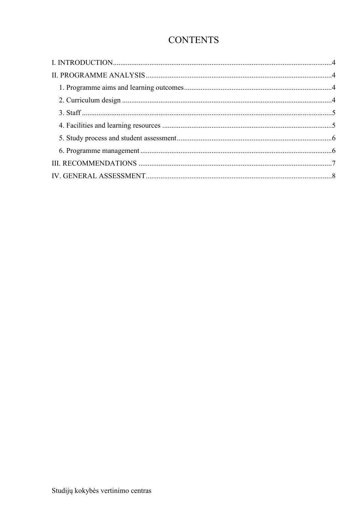## **CONTENTS**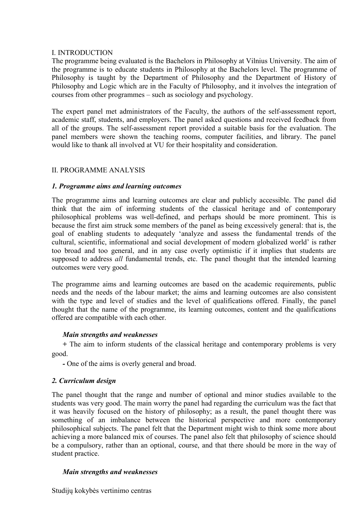#### <span id="page-3-0"></span>I. INTRODUCTION

The programme being evaluated is the Bachelors in Philosophy at Vilnius University. The aim of the programme is to educate students in Philosophy at the Bachelors level. The programme of Philosophy is taught by the Department of Philosophy and the Department of History of Philosophy and Logic which are in the Faculty of Philosophy, and it involves the integration of courses from other programmes – such as sociology and psychology.

The expert panel met administrators of the Faculty, the authors of the self-assessment report, academic staff, students, and employers. The panel asked questions and received feedback from all of the groups. The self-assessment report provided a suitable basis for the evaluation. The panel members were shown the teaching rooms, computer facilities, and library. The panel would like to thank all involved at VU for their hospitality and consideration.

#### <span id="page-3-2"></span><span id="page-3-1"></span>II. PROGRAMME ANALYSIS

#### *1. Programme aims and learning outcomes*

The programme aims and learning outcomes are clear and publicly accessible. The panel did think that the aim of informing students of the classical heritage and of contemporary philosophical problems was well-defined, and perhaps should be more prominent. This is because the first aim struck some members of the panel as being excessively general: that is, the goal of enabling students to adequately 'analyze and assess the fundamental trends of the cultural, scientific, informational and social development of modern globalized world' is rather too broad and too general, and in any case overly optimistic if it implies that students are supposed to address *all* fundamental trends, etc. The panel thought that the intended learning outcomes were very good.

The programme aims and learning outcomes are based on the academic requirements, public needs and the needs of the labour market; the aims and learning outcomes are also consistent with the type and level of studies and the level of qualifications offered. Finally, the panel thought that the name of the programme, its learning outcomes, content and the qualifications offered are compatible with each other.

#### *Main strengths and weaknesses*

*+* The aim to inform students of the classical heritage and contemporary problems is very good.

*-* One of the aims is overly general and broad.

#### *2. Curriculum design*

The panel thought that the range and number of optional and minor studies available to the students was very good. The main worry the panel had regarding the curriculum was the fact that it was heavily focused on the history of philosophy; as a result, the panel thought there was something of an imbalance between the historical perspective and more contemporary philosophical subjects. The panel felt that the Department might wish to think some more about achieving a more balanced mix of courses. The panel also felt that philosophy of science should be a compulsory, rather than an optional, course, and that there should be more in the way of student practice.

#### <span id="page-3-3"></span>*Main strengths and weaknesses*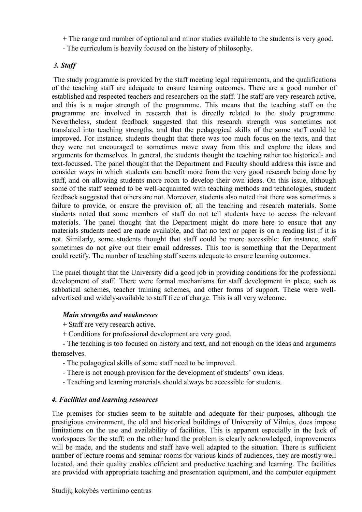- + The range and number of optional and minor studies available to the students is very good.
- The curriculum is heavily focused on the history of philosophy.

#### <span id="page-4-0"></span>*3. Staff*

The study programme is provided by the staff meeting legal requirements, and the qualifications of the teaching staff are adequate to ensure learning outcomes. There are a good number of established and respected teachers and researchers on the staff. The staff are very research active, and this is a major strength of the programme. This means that the teaching staff on the programme are involved in research that is directly related to the study programme. Nevertheless, student feedback suggested that this research strength was sometimes not translated into teaching strengths, and that the pedagogical skills of the some staff could be improved. For instance, students thought that there was too much focus on the texts, and that they were not encouraged to sometimes move away from this and explore the ideas and arguments for themselves. In general, the students thought the teaching rather too historical- and text-focussed. The panel thought that the Department and Faculty should address this issue and consider ways in which students can benefit more from the very good research being done by staff, and on allowing students more room to develop their own ideas. On this issue, although some of the staff seemed to be well-acquainted with teaching methods and technologies, student feedback suggested that others are not. Moreover, students also noted that there was sometimes a failure to provide, or ensure the provision of, all the teaching and research materials. Some students noted that some members of staff do not tell students have to access the relevant materials. The panel thought that the Department might do more here to ensure that any materials students need are made available, and that no text or paper is on a reading list if it is not. Similarly, some students thought that staff could be more accessible: for instance, staff sometimes do not give out their email addresses. This too is something that the Department could rectify. The number of teaching staff seems adequate to ensure learning outcomes.

The panel thought that the University did a good job in providing conditions for the professional development of staff. There were formal mechanisms for staff development in place, such as sabbatical schemes, teacher training schemes, and other forms of support. These were welladvertised and widely-available to staff free of charge. This is all very welcome.

#### *Main strengths and weaknesses*

*+* Staff are very research active.

+ Conditions for professional development are very good.

*-* The teaching is too focused on history and text, and not enough on the ideas and arguments themselves.

- The pedagogical skills of some staff need to be improved.
- There is not enough provision for the development of students' own ideas.
- Teaching and learning materials should always be accessible for students.

#### <span id="page-4-1"></span>*4. Facilities and learning resources*

The premises for studies seem to be suitable and adequate for their purposes, although the prestigious environment, the old and historical buildings of University of Vilnius, does impose limitations on the use and availability of facilities. This is apparent especially in the lack of workspaces for the staff; on the other hand the problem is clearly acknowledged, improvements will be made, and the students and staff have well adapted to the situation. There is sufficient number of lecture rooms and seminar rooms for various kinds of audiences, they are mostly well located, and their quality enables efficient and productive teaching and learning. The facilities are provided with appropriate teaching and presentation equipment, and the computer equipment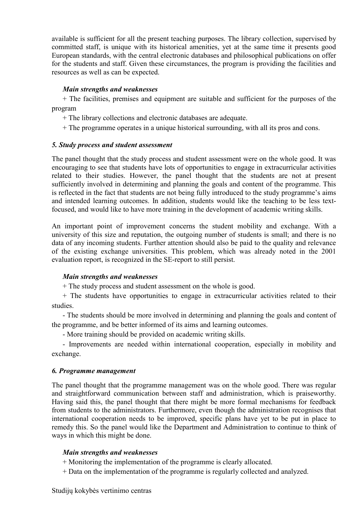available is sufficient for all the present teaching purposes. The library collection, supervised by committed staff, is unique with its historical amenities, yet at the same time it presents good European standards, with the central electronic databases and philosophical publications on offer for the students and staff. Given these circumstances, the program is providing the facilities and resources as well as can be expected.

#### *Main strengths and weaknesses*

+ The facilities, premises and equipment are suitable and sufficient for the purposes of the program

+ The library collections and electronic databases are adequate.

+ The programme operates in a unique historical surrounding, with all its pros and cons.

#### <span id="page-5-0"></span>*5. Study process and student assessment*

The panel thought that the study process and student assessment were on the whole good. It was encouraging to see that students have lots of opportunities to engage in extracurricular activities related to their studies. However, the panel thought that the students are not at present sufficiently involved in determining and planning the goals and content of the programme. This is reflected in the fact that students are not being fully introduced to the study programme's aims and intended learning outcomes. In addition, students would like the teaching to be less textfocused, and would like to have more training in the development of academic writing skills.

An important point of improvement concerns the student mobility and exchange. With a university of this size and reputation, the outgoing number of students is small; and there is no data of any incoming students. Further attention should also be paid to the quality and relevance of the existing exchange universities. This problem, which was already noted in the 2001 evaluation report, is recognized in the SE-report to still persist.

#### *Main strengths and weaknesses*

+ The study process and student assessment on the whole is good.

+ The students have opportunities to engage in extracurricular activities related to their studies.

- The students should be more involved in determining and planning the goals and content of the programme, and be better informed of its aims and learning outcomes.

- More training should be provided on academic writing skills.

- Improvements are needed within international cooperation, especially in mobility and exchange.

#### <span id="page-5-1"></span>*6. Programme management*

The panel thought that the programme management was on the whole good. There was regular and straightforward communication between staff and administration, which is praiseworthy. Having said this, the panel thought that there might be more formal mechanisms for feedback from students to the administrators. Furthermore, even though the administration recognises that international cooperation needs to be improved, specific plans have yet to be put in place to remedy this. So the panel would like the Department and Administration to continue to think of ways in which this might be done.

#### *Main strengths and weaknesses*

+ Monitoring the implementation of the programme is clearly allocated.

+ Data on the implementation of the programme is regularly collected and analyzed.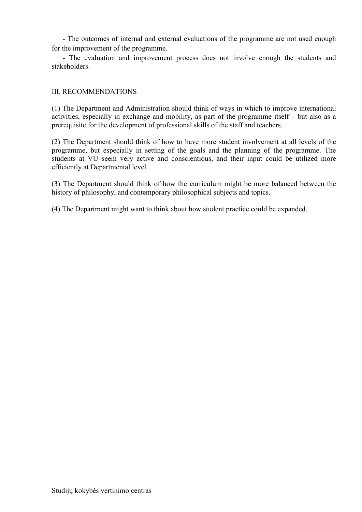- The outcomes of internal and external evaluations of the programme are not used enough for the improvement of the programme.

- The evaluation and improvement process does not involve enough the students and stakeholders.

#### <span id="page-6-0"></span>III. RECOMMENDATIONS

(1) The Department and Administration should think of ways in which to improve international activities, especially in exchange and mobility, as part of the programme itself – but also as a prerequisite for the development of professional skills of the staff and teachers.

(2) The Department should think of how to have more student involvement at all levels of the programme, but especially in setting of the goals and the planning of the programme. The students at VU seem very active and conscientious, and their input could be utilized more efficiently at Departmental level.

(3) The Department should think of how the curriculum might be more balanced between the history of philosophy, and contemporary philosophical subjects and topics.

(4) The Department might want to think about how student practice could be expanded.